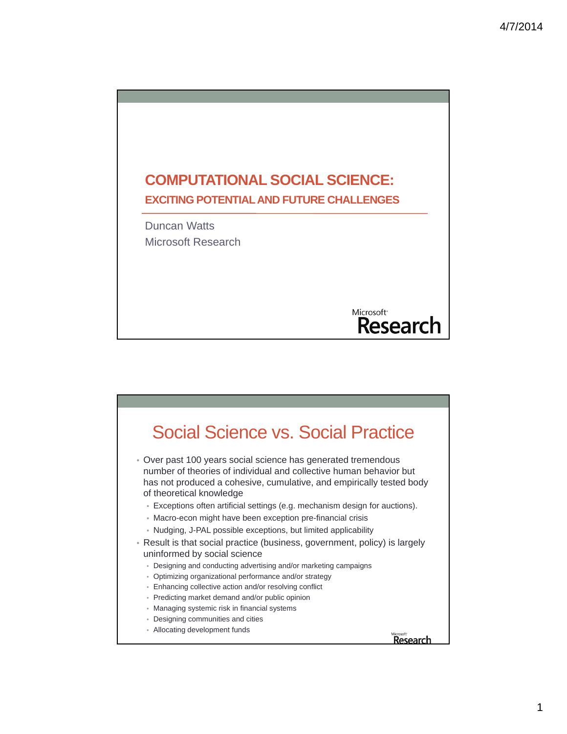

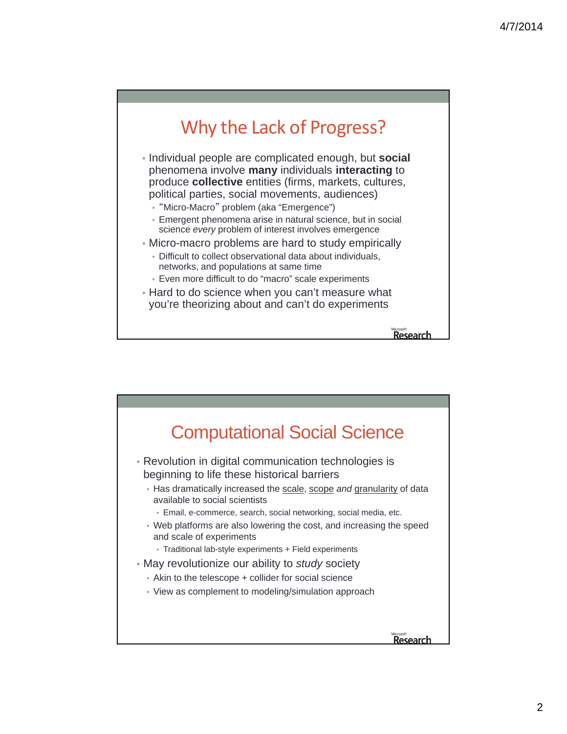## Why the Lack of Progress?

- Individual people are complicated enough, but **social** phenomena involve **many** individuals **interacting** to produce **collective** entities (firms, markets, cultures, political parties, social movements, audiences)
	- "Micro-Macro" problem (aka "Emergence")
	- Emergent phenomena arise in natural science, but in social science *every* problem of interest involves emergence
- Micro-macro problems are hard to study empirically
	- Difficult to collect observational data about individuals, networks, and populations at same time
	- Even more difficult to do "macro" scale experiments
- Hard to do science when you can't measure what you're theorizing about and can't do experiments

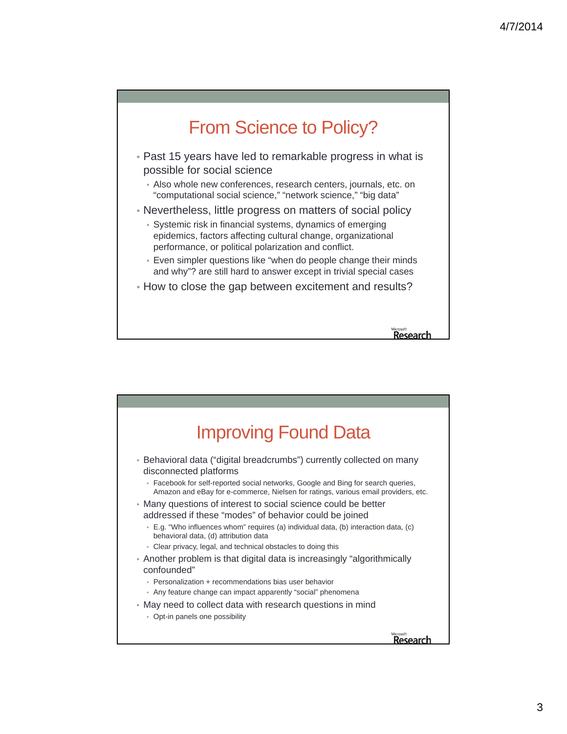

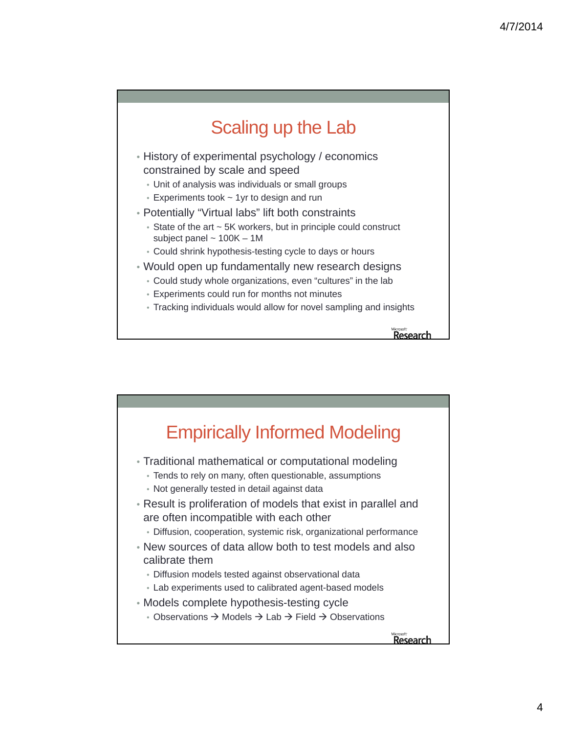## Scaling up the Lab

- History of experimental psychology / economics constrained by scale and speed
	- Unit of analysis was individuals or small groups
	- Experiments took ~ 1yr to design and run
- Potentially "Virtual labs" lift both constraints
	- State of the art ~ 5K workers, but in principle could construct subject panel  $\sim 100K - 1M$
	- Could shrink hypothesis-testing cycle to days or hours
- Would open up fundamentally new research designs
	- Could study whole organizations, even "cultures" in the lab
	- Experiments could run for months not minutes
	- Tracking individuals would allow for novel sampling and insights

Research

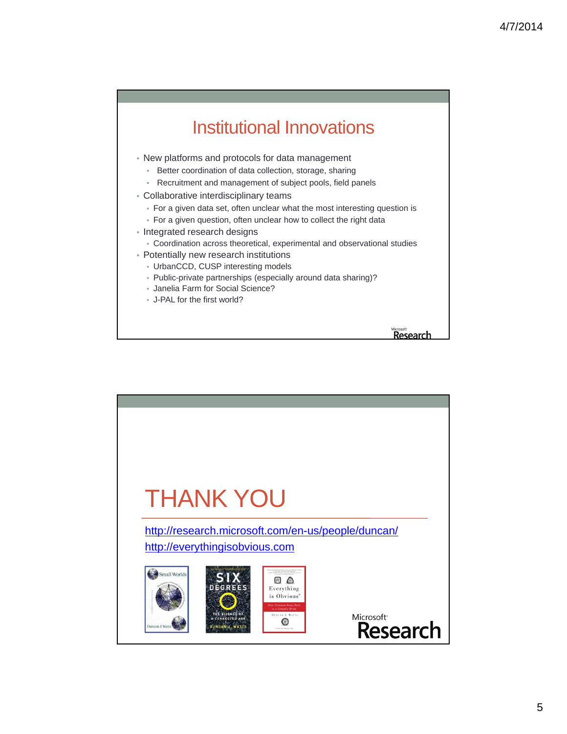## Institutional Innovations

- New platforms and protocols for data management
	- Better coordination of data collection, storage, sharing
	- Recruitment and management of subject pools, field panels
- Collaborative interdisciplinary teams
	- For a given data set, often unclear what the most interesting question is
	- For a given question, often unclear how to collect the right data
- Integrated research designs
- Coordination across theoretical, experimental and observational studies
- Potentially new research institutions
	- UrbanCCD, CUSP interesting models
	- Public-private partnerships (especially around data sharing)?
	- Janelia Farm for Social Science?
	- J-PAL for the first world?

Microsoft<sup></sup><br>Research

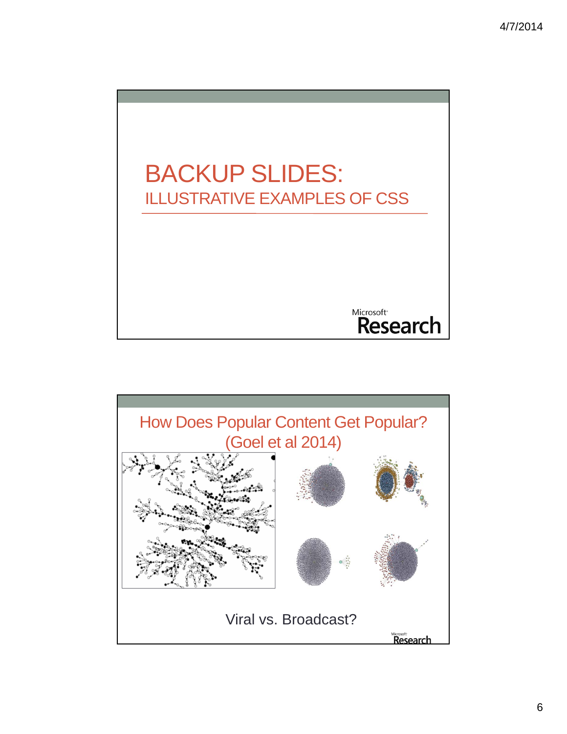

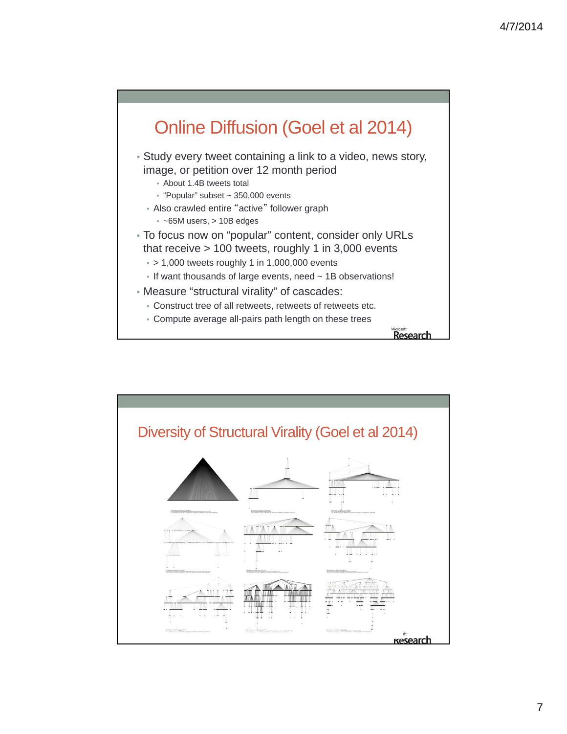

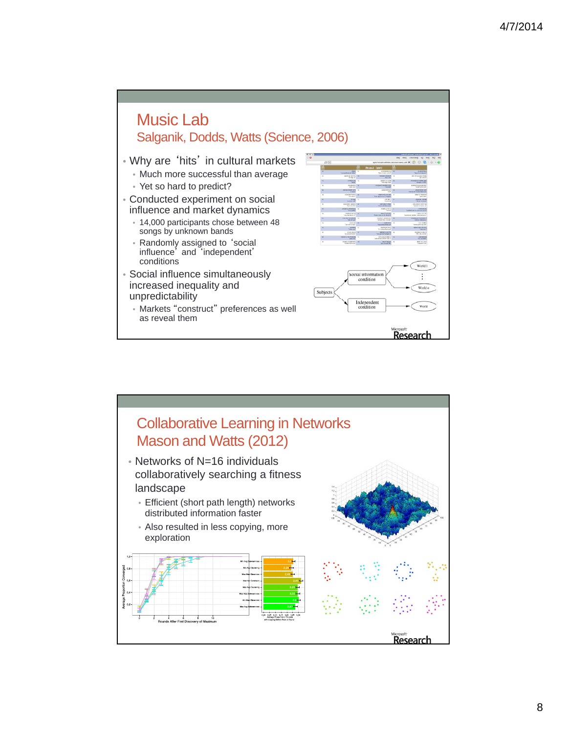